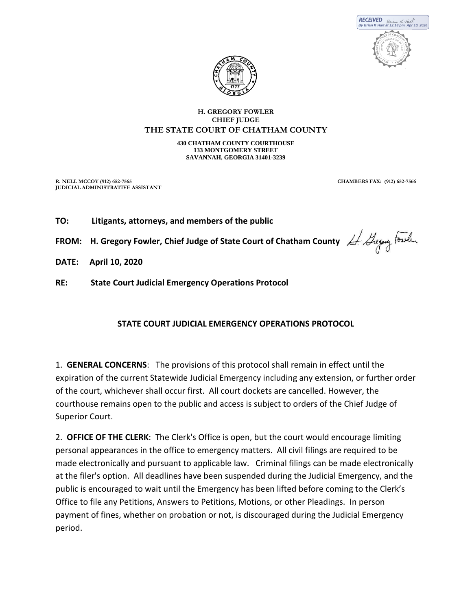



## **H. GREGORY FOWLER CHIEF JUDGE**

#### **THE STATE COURT OF CHATHAM COUNTY**

**430 CHATHAM COUNTY COURTHOUSE 133 MONTGOMERY STREET SAVANNAH, GEORGIA 31401-3239**

**R. NELL MCCOY (912) 652-7565 CHAMBERS FAX: (912) 652-7566 JUDICIAL ADMINISTRATIVE ASSISTANT**

- **TO: Litigants, attorneys, and members of the public**
- **FROM:** H. Gregory Fowler, Chief Judge of State Court of Chatham County  $\#$  Heyang Forth
- **DATE: April 10, 2020**
- **RE: State Court Judicial Emergency Operations Protocol**

# **STATE COURT JUDICIAL EMERGENCY OPERATIONS PROTOCOL**

1. **GENERAL CONCERNS**: The provisions of this protocol shall remain in effect until the expiration of the current Statewide Judicial Emergency including any extension, or further order of the court, whichever shall occur first. All court dockets are cancelled. However, the courthouse remains open to the public and access is subject to orders of the Chief Judge of Superior Court.

2. **OFFICE OF THE CLERK**: The Clerk's Office is open, but the court would encourage limiting personal appearances in the office to emergency matters. All civil filings are required to be made electronically and pursuant to applicable law. Criminal filings can be made electronically at the filer's option. All deadlines have been suspended during the Judicial Emergency, and the public is encouraged to wait until the Emergency has been lifted before coming to the Clerk's Office to file any Petitions, Answers to Petitions, Motions, or other Pleadings. In person payment of fines, whether on probation or not, is discouraged during the Judicial Emergency period.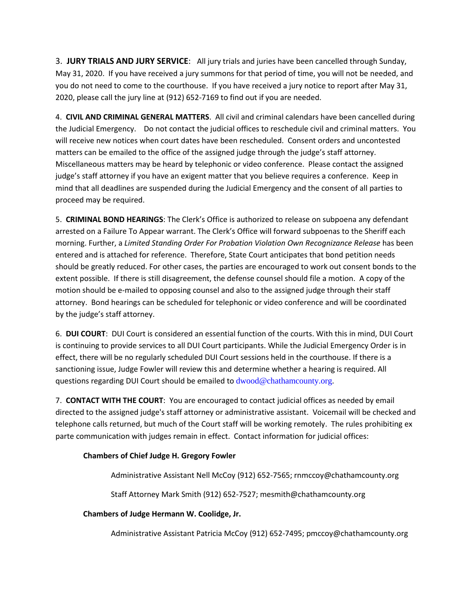3. **JURY TRIALS AND JURY SERVICE**: All jury trials and juries have been cancelled through Sunday, May 31, 2020. If you have received a jury summons for that period of time, you will not be needed, and you do not need to come to the courthouse. If you have received a jury notice to report after May 31, 2020, please call the jury line at (912) 652-7169 to find out if you are needed.

4. **CIVIL AND CRIMINAL GENERAL MATTERS**. All civil and criminal calendars have been cancelled during the Judicial Emergency. Do not contact the judicial offices to reschedule civil and criminal matters. You will receive new notices when court dates have been rescheduled. Consent orders and uncontested matters can be emailed to the office of the assigned judge through the judge's staff attorney. Miscellaneous matters may be heard by telephonic or video conference. Please contact the assigned judge's staff attorney if you have an exigent matter that you believe requires a conference. Keep in mind that all deadlines are suspended during the Judicial Emergency and the consent of all parties to proceed may be required.

5. **CRIMINAL BOND HEARINGS**: The Clerk's Office is authorized to release on subpoena any defendant arrested on a Failure To Appear warrant. The Clerk's Office will forward subpoenas to the Sheriff each morning. Further, a *Limited Standing Order For Probation Violation Own Recognizance Release* has been entered and is attached for reference. Therefore, State Court anticipates that bond petition needs should be greatly reduced. For other cases, the parties are encouraged to work out consent bonds to the extent possible. If there is still disagreement, the defense counsel should file a motion. A copy of the motion should be e-mailed to opposing counsel and also to the assigned judge through their staff attorney. Bond hearings can be scheduled for telephonic or video conference and will be coordinated by the judge's staff attorney.

6. **DUI COURT**: DUI Court is considered an essential function of the courts. With this in mind, DUI Court is continuing to provide services to all DUI Court participants. While the Judicial Emergency Order is in effect, there will be no regularly scheduled DUI Court sessions held in the courthouse. If there is a sanctioning issue, Judge Fowler will review this and determine whether a hearing is required. All questions regarding DUI Court should be emailed to dwood@chathamcounty.org.

7. **CONTACT WITH THE COURT**: You are encouraged to contact judicial offices as needed by email directed to the assigned judge's staff attorney or administrative assistant. Voicemail will be checked and telephone calls returned, but much of the Court staff will be working remotely. The rules prohibiting ex parte communication with judges remain in effect. Contact information for judicial offices:

# **Chambers of Chief Judge H. Gregory Fowler**

Administrative Assistant Nell McCoy (912) 652-7565; rnmccoy@chathamcounty.org

Staff Attorney Mark Smith (912) 652-7527; mesmith@chathamcounty.org

## **Chambers of Judge Hermann W. Coolidge, Jr.**

Administrative Assistant Patricia McCoy (912) 652-7495; pmccoy@chathamcounty.org